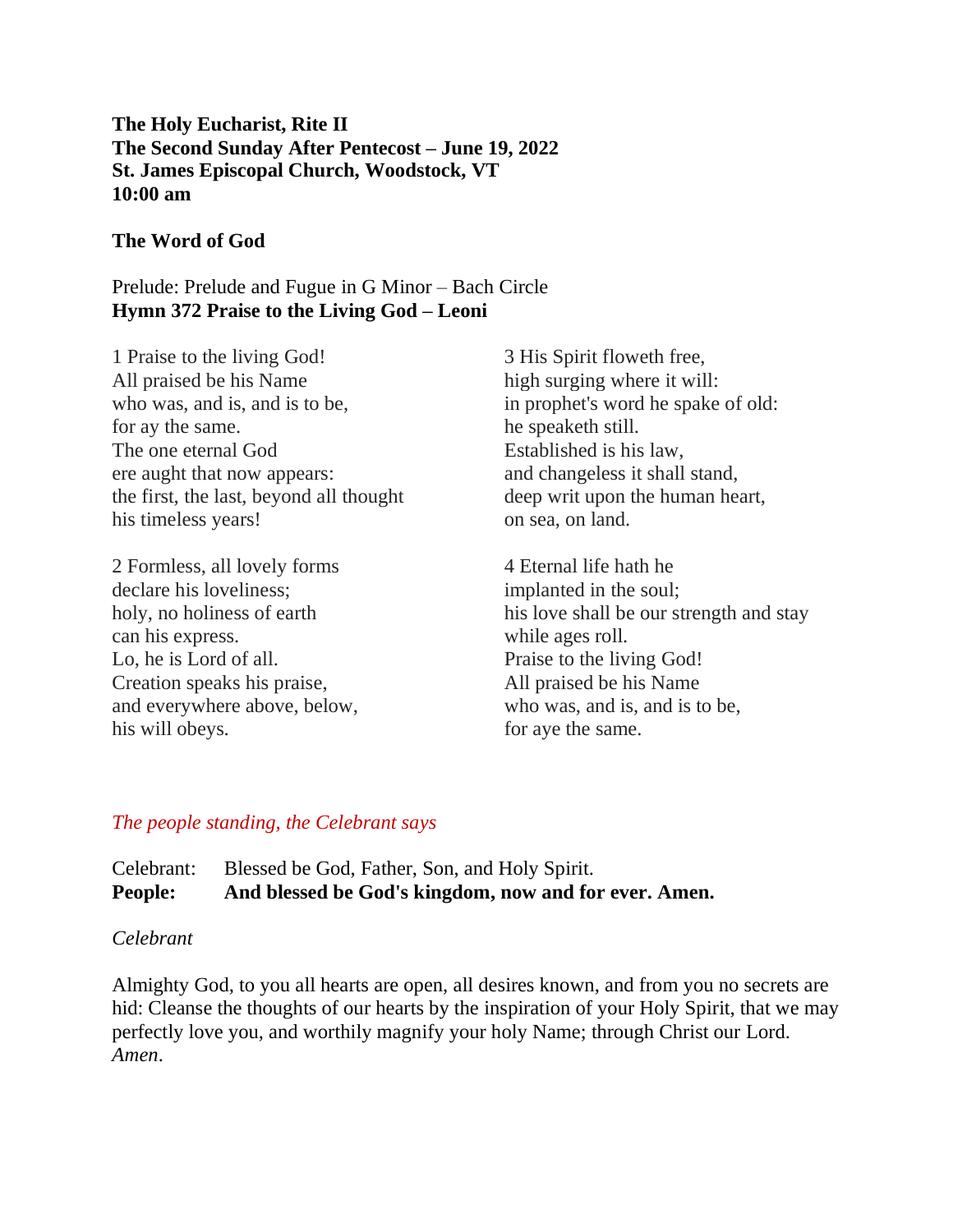# **The Holy Eucharist, Rite II The Second Sunday After Pentecost – June 19, 2022 St. James Episcopal Church, Woodstock, VT 10:00 am**

### **The Word of God**

# Prelude: Prelude and Fugue in G Minor – Bach Circle **Hymn 372 Praise to the Living God – Leoni**

1 Praise to the living God! All praised be his Name who was, and is, and is to be, for ay the same. The one eternal God ere aught that now appears: the first, the last, beyond all thought his timeless years!

2 Formless, all lovely forms declare his loveliness; holy, no holiness of earth can his express. Lo, he is Lord of all. Creation speaks his praise, and everywhere above, below, his will obeys.

3 His Spirit floweth free, high surging where it will: in prophet's word he spake of old: he speaketh still. Established is his law, and changeless it shall stand, deep writ upon the human heart, on sea, on land.

4 Eternal life hath he implanted in the soul; his love shall be our strength and stay while ages roll. Praise to the living God! All praised be his Name who was, and is, and is to be, for aye the same.

#### *The people standing, the Celebrant says*

# Celebrant: Blessed be God, Father, Son, and Holy Spirit. **People: And blessed be God's kingdom, now and for ever. Amen.**

#### *Celebrant*

Almighty God, to you all hearts are open, all desires known, and from you no secrets are hid: Cleanse the thoughts of our hearts by the inspiration of your Holy Spirit, that we may perfectly love you, and worthily magnify your holy Name; through Christ our Lord. *Amen*.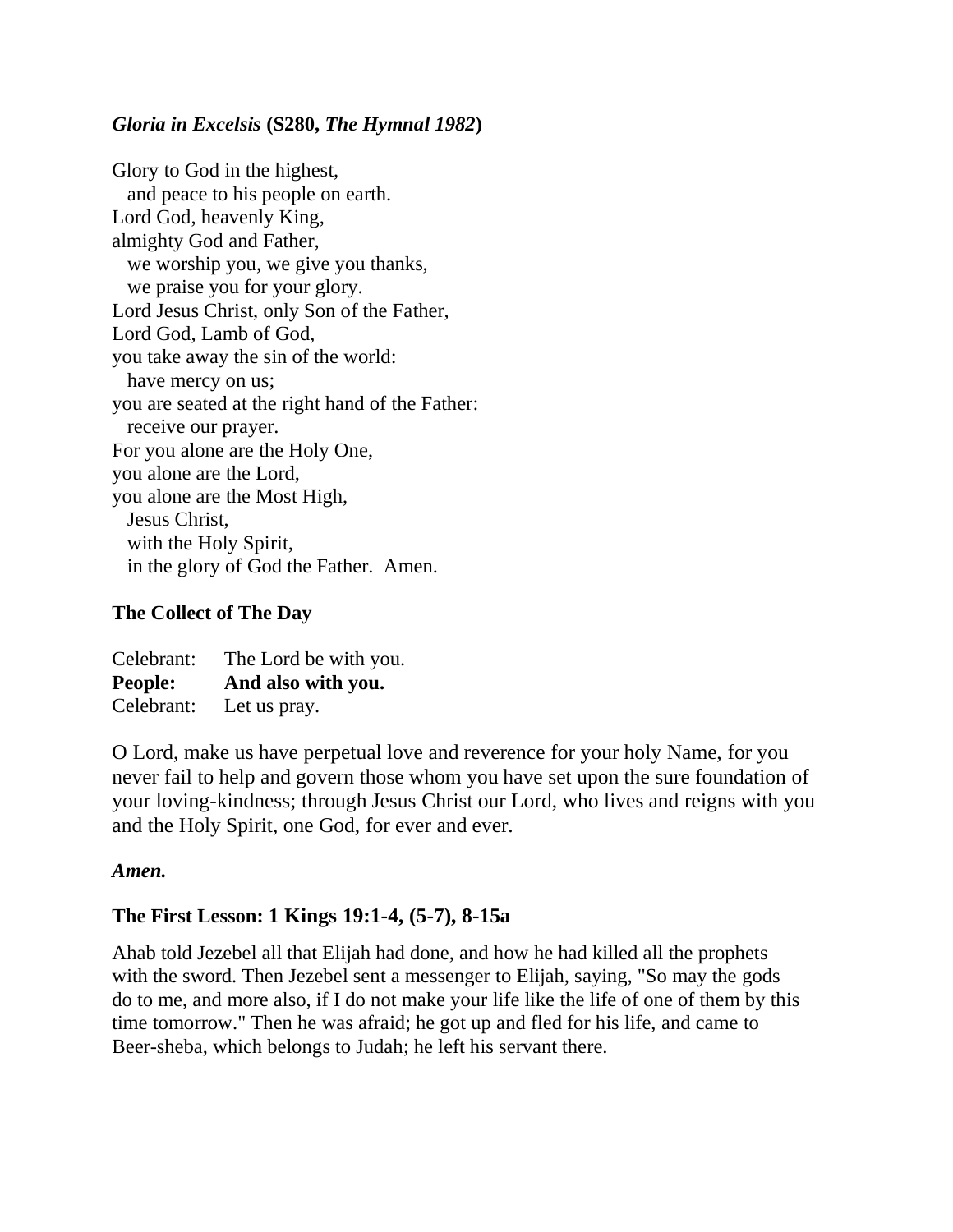# *Gloria in Excelsis* **(S280,** *The Hymnal 1982***)**

Glory to God in the highest, and peace to his people on earth. Lord God, heavenly King, almighty God and Father, we worship you, we give you thanks, we praise you for your glory. Lord Jesus Christ, only Son of the Father, Lord God, Lamb of God, you take away the sin of the world: have mercy on us; you are seated at the right hand of the Father: receive our prayer. For you alone are the Holy One, you alone are the Lord, you alone are the Most High, Jesus Christ, with the Holy Spirit, in the glory of God the Father. Amen.

# **The Collect of The Day**

| Celebrant:     | The Lord be with you. |
|----------------|-----------------------|
| <b>People:</b> | And also with you.    |
| Celebrant:     | Let us pray.          |

O Lord, make us have perpetual love and reverence for your holy Name, for you never fail to help and govern those whom you have set upon the sure foundation of your loving-kindness; through Jesus Christ our Lord, who lives and reigns with you and the Holy Spirit, one God, for ever and ever.

#### *Amen.*

# **The First Lesson: 1 Kings 19:1-4, (5-7), 8-15a**

Ahab told Jezebel all that Elijah had done, and how he had killed all the prophets with the sword. Then Jezebel sent a messenger to Elijah, saying, "So may the gods do to me, and more also, if I do not make your life like the life of one of them by this time tomorrow." Then he was afraid; he got up and fled for his life, and came to Beer-sheba, which belongs to Judah; he left his servant there.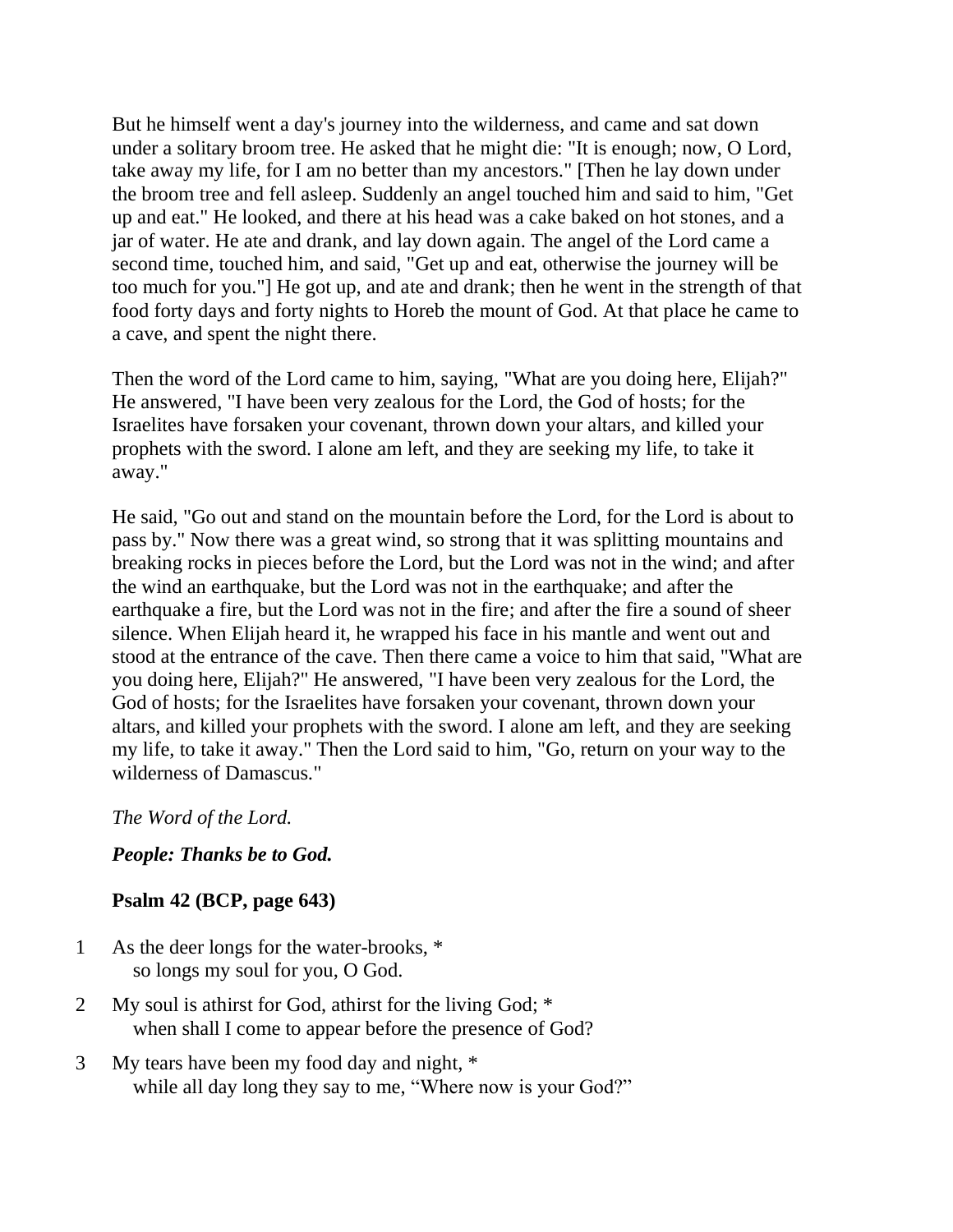But he himself went a day's journey into the wilderness, and came and sat down under a solitary broom tree. He asked that he might die: "It is enough; now, O Lord, take away my life, for I am no better than my ancestors." [Then he lay down under the broom tree and fell asleep. Suddenly an angel touched him and said to him, "Get up and eat." He looked, and there at his head was a cake baked on hot stones, and a jar of water. He ate and drank, and lay down again. The angel of the Lord came a second time, touched him, and said, "Get up and eat, otherwise the journey will be too much for you."] He got up, and ate and drank; then he went in the strength of that food forty days and forty nights to Horeb the mount of God. At that place he came to a cave, and spent the night there.

Then the word of the Lord came to him, saying, "What are you doing here, Elijah?" He answered, "I have been very zealous for the Lord, the God of hosts; for the Israelites have forsaken your covenant, thrown down your altars, and killed your prophets with the sword. I alone am left, and they are seeking my life, to take it away."

He said, "Go out and stand on the mountain before the Lord, for the Lord is about to pass by." Now there was a great wind, so strong that it was splitting mountains and breaking rocks in pieces before the Lord, but the Lord was not in the wind; and after the wind an earthquake, but the Lord was not in the earthquake; and after the earthquake a fire, but the Lord was not in the fire; and after the fire a sound of sheer silence. When Elijah heard it, he wrapped his face in his mantle and went out and stood at the entrance of the cave. Then there came a voice to him that said, "What are you doing here, Elijah?" He answered, "I have been very zealous for the Lord, the God of hosts; for the Israelites have forsaken your covenant, thrown down your altars, and killed your prophets with the sword. I alone am left, and they are seeking my life, to take it away." Then the Lord said to him, "Go, return on your way to the wilderness of Damascus."

*The Word of the Lord.*

*People: Thanks be to God.* 

# **Psalm 42 (BCP, page 643)**

- 1 As the deer longs for the water-brooks, \* so longs my soul for you, O God.
- 2 My soul is athirst for God, athirst for the living God; \* when shall I come to appear before the presence of God?
- 3 My tears have been my food day and night, \* while all day long they say to me, "Where now is your God?"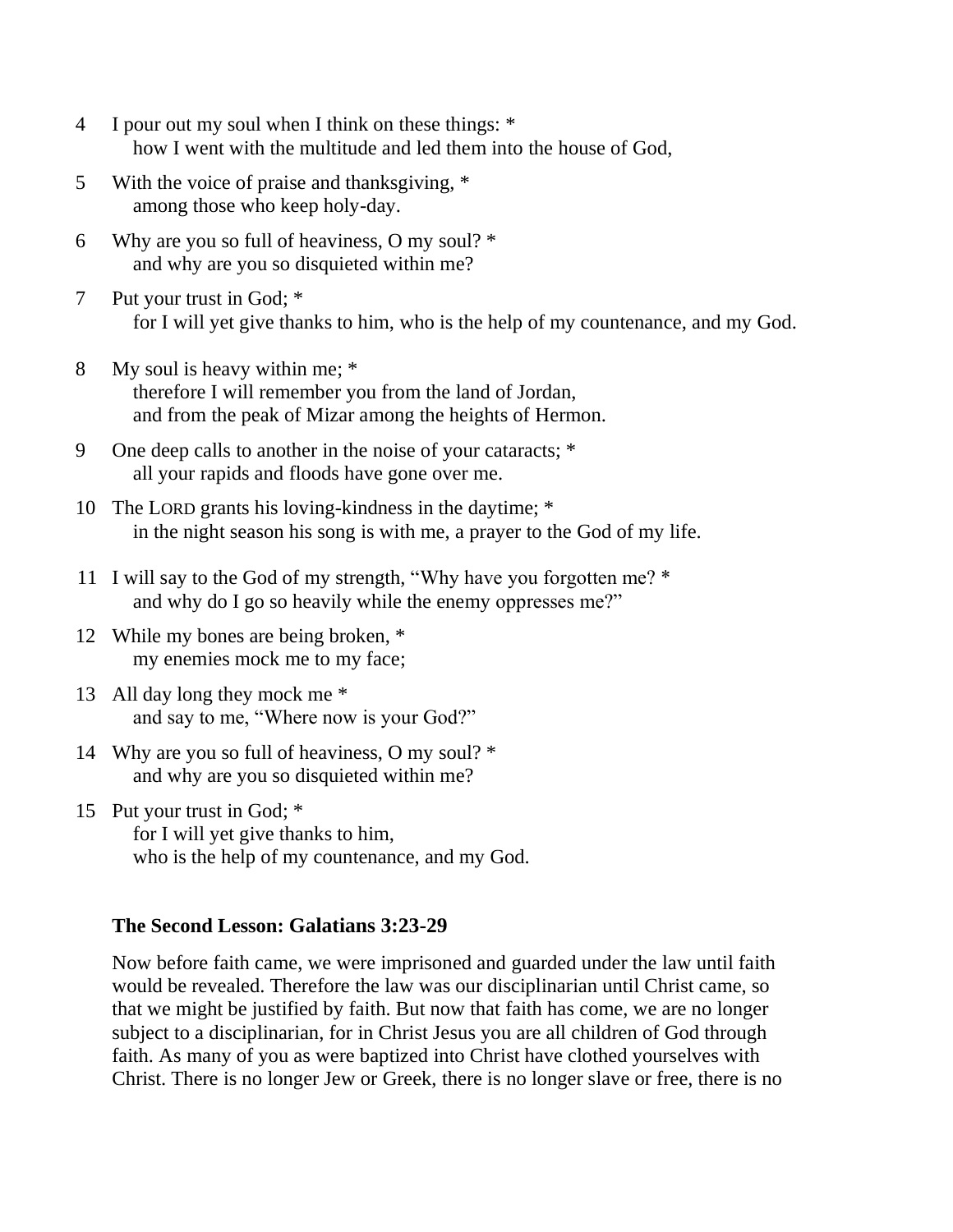- 4 I pour out my soul when I think on these things: \* how I went with the multitude and led them into the house of God,
- 5 With the voice of praise and thanksgiving, \* among those who keep holy-day.
- 6 Why are you so full of heaviness, O my soul? \* and why are you so disquieted within me?
- 7 Put your trust in God; \* for I will yet give thanks to him, who is the help of my countenance, and my God.
- 8 My soul is heavy within me; \* therefore I will remember you from the land of Jordan, and from the peak of Mizar among the heights of Hermon.
- 9 One deep calls to another in the noise of your cataracts;  $*$ all your rapids and floods have gone over me.
- 10 The LORD grants his loving-kindness in the daytime; \* in the night season his song is with me, a prayer to the God of my life.
- 11 I will say to the God of my strength, "Why have you forgotten me? \* and why do I go so heavily while the enemy oppresses me?"
- 12 While my bones are being broken, \* my enemies mock me to my face;
- 13 All day long they mock me \* and say to me, "Where now is your God?"
- 14 Why are you so full of heaviness, O my soul? \* and why are you so disquieted within me?
- 15 Put your trust in God; \* for I will yet give thanks to him, who is the help of my countenance, and my God.

# **The Second Lesson: Galatians 3:23-29**

Now before faith came, we were imprisoned and guarded under the law until faith would be revealed. Therefore the law was our disciplinarian until Christ came, so that we might be justified by faith. But now that faith has come, we are no longer subject to a disciplinarian, for in Christ Jesus you are all children of God through faith. As many of you as were baptized into Christ have clothed yourselves with Christ. There is no longer Jew or Greek, there is no longer slave or free, there is no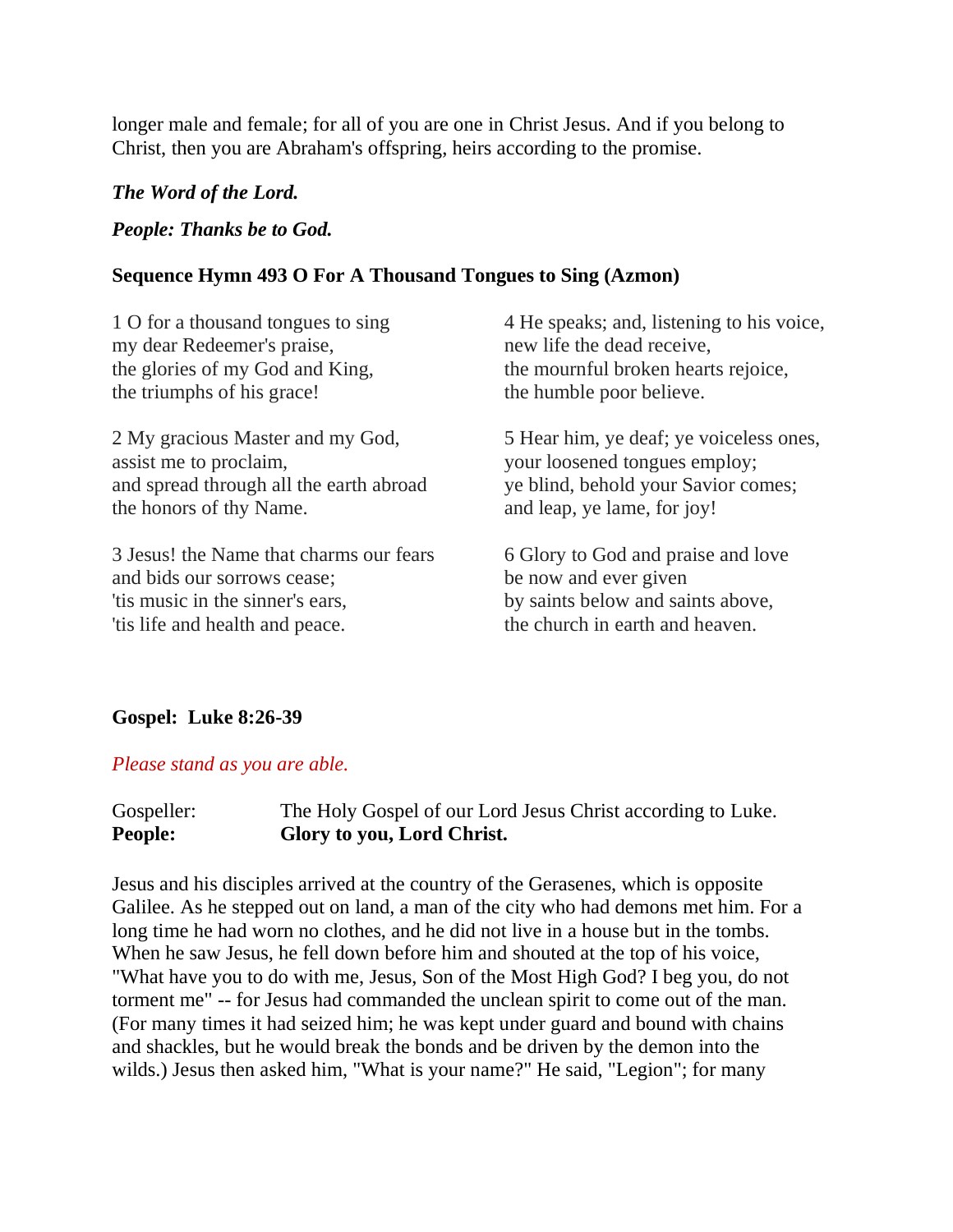longer male and female; for all of you are one in Christ Jesus. And if you belong to Christ, then you are Abraham's offspring, heirs according to the promise.

#### *The Word of the Lord.*

### *People: Thanks be to God.*

# **Sequence Hymn 493 O For A Thousand Tongues to Sing (Azmon)**

1 O for a thousand tongues to sing my dear Redeemer's praise, the glories of my God and King, the triumphs of his grace!

2 My gracious Master and my God, assist me to proclaim, and spread through all the earth abroad the honors of thy Name.

3 Jesus! the Name that charms our fears and bids our sorrows cease; 'tis music in the sinner's ears, 'tis life and health and peace.

4 He speaks; and, listening to his voice, new life the dead receive, the mournful broken hearts rejoice, the humble poor believe.

5 Hear him, ye deaf; ye voiceless ones, your loosened tongues employ; ye blind, behold your Savior comes; and leap, ye lame, for joy!

6 Glory to God and praise and love be now and ever given by saints below and saints above, the church in earth and heaven.

# **Gospel: Luke 8:26-39**

#### *Please stand as you are able.*

Gospeller: The Holy Gospel of our Lord Jesus Christ according to Luke. **People: Glory to you, Lord Christ.**

Jesus and his disciples arrived at the country of the Gerasenes, which is opposite Galilee. As he stepped out on land, a man of the city who had demons met him. For a long time he had worn no clothes, and he did not live in a house but in the tombs. When he saw Jesus, he fell down before him and shouted at the top of his voice, "What have you to do with me, Jesus, Son of the Most High God? I beg you, do not torment me" -- for Jesus had commanded the unclean spirit to come out of the man. (For many times it had seized him; he was kept under guard and bound with chains and shackles, but he would break the bonds and be driven by the demon into the wilds.) Jesus then asked him, "What is your name?" He said, "Legion"; for many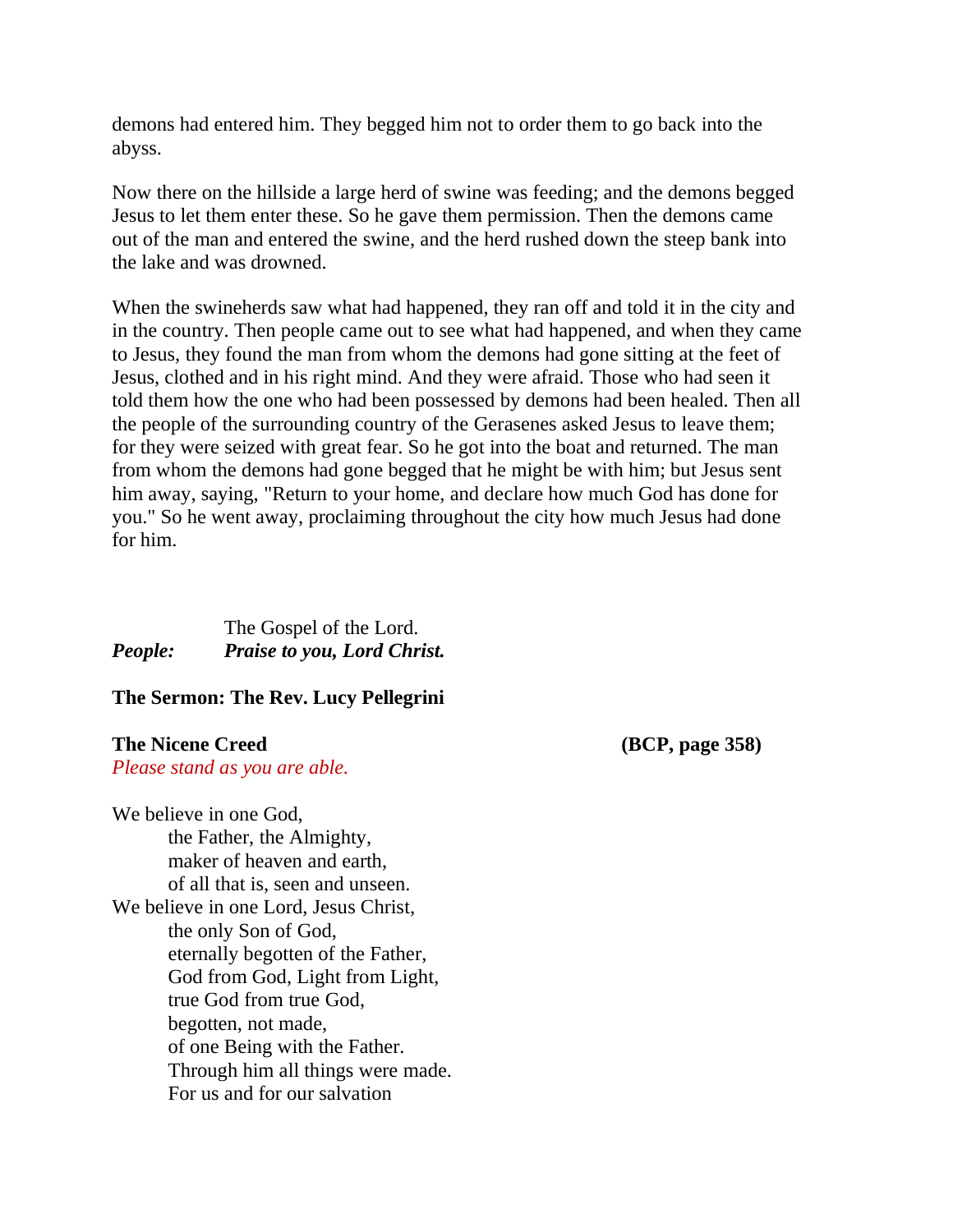demons had entered him. They begged him not to order them to go back into the abyss.

Now there on the hillside a large herd of swine was feeding; and the demons begged Jesus to let them enter these. So he gave them permission. Then the demons came out of the man and entered the swine, and the herd rushed down the steep bank into the lake and was drowned.

When the swineherds saw what had happened, they ran off and told it in the city and in the country. Then people came out to see what had happened, and when they came to Jesus, they found the man from whom the demons had gone sitting at the feet of Jesus, clothed and in his right mind. And they were afraid. Those who had seen it told them how the one who had been possessed by demons had been healed. Then all the people of the surrounding country of the Gerasenes asked Jesus to leave them; for they were seized with great fear. So he got into the boat and returned. The man from whom the demons had gone begged that he might be with him; but Jesus sent him away, saying, "Return to your home, and declare how much God has done for you." So he went away, proclaiming throughout the city how much Jesus had done for him.

# The Gospel of the Lord. *People: Praise to you, Lord Christ.*

# **The Sermon: The Rev. Lucy Pellegrini**

# **The Nicene Creed (BCP, page 358)**

*Please stand as you are able.*

We believe in one God, the Father, the Almighty, maker of heaven and earth, of all that is, seen and unseen. We believe in one Lord, Jesus Christ, the only Son of God, eternally begotten of the Father, God from God, Light from Light, true God from true God, begotten, not made, of one Being with the Father. Through him all things were made. For us and for our salvation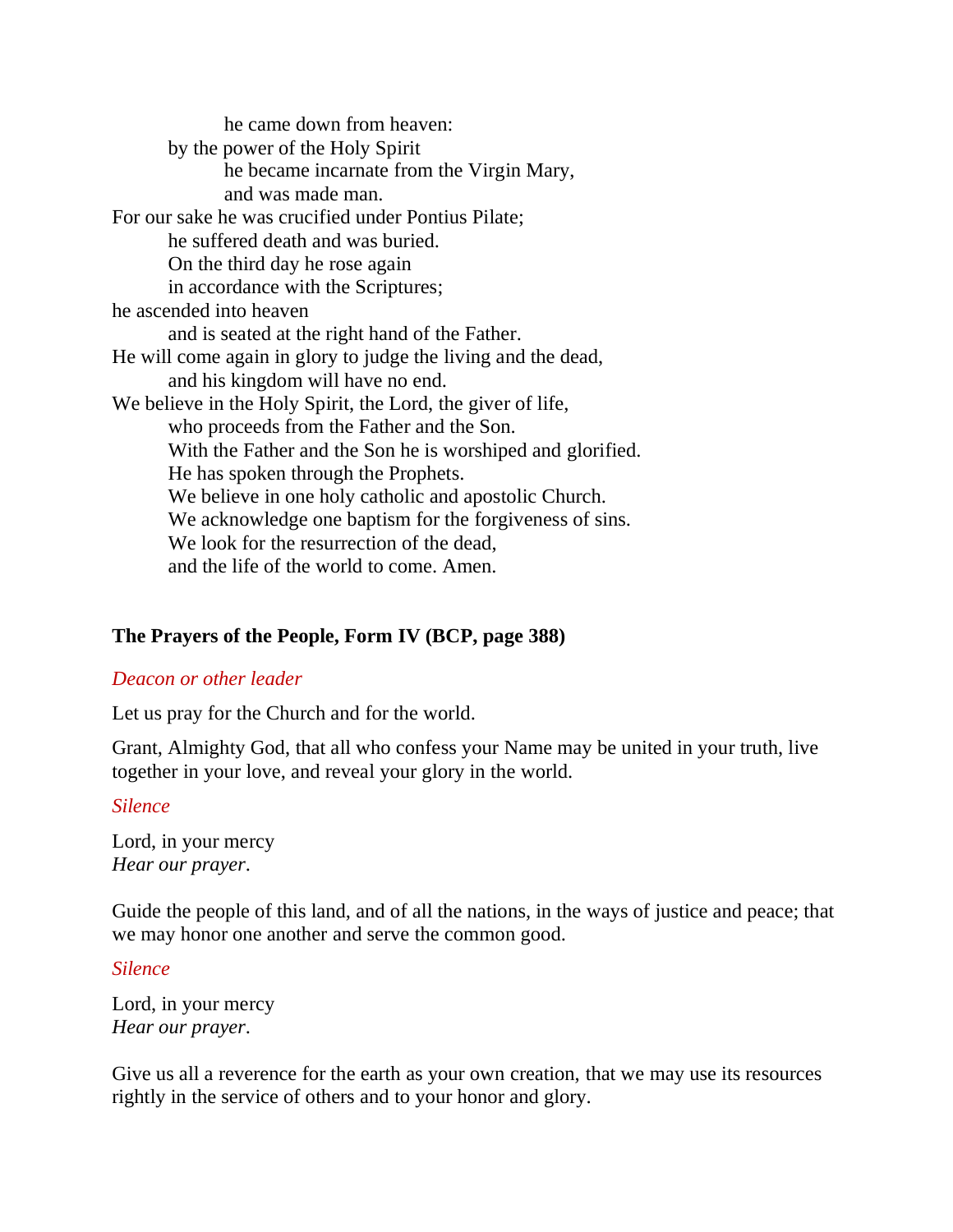he came down from heaven: by the power of the Holy Spirit he became incarnate from the Virgin Mary, and was made man. For our sake he was crucified under Pontius Pilate; he suffered death and was buried. On the third day he rose again in accordance with the Scriptures; he ascended into heaven and is seated at the right hand of the Father. He will come again in glory to judge the living and the dead, and his kingdom will have no end. We believe in the Holy Spirit, the Lord, the giver of life, who proceeds from the Father and the Son. With the Father and the Son he is worshiped and glorified. He has spoken through the Prophets. We believe in one holy catholic and apostolic Church. We acknowledge one baptism for the forgiveness of sins. We look for the resurrection of the dead. and the life of the world to come. Amen.

# **The Prayers of the People, Form IV (BCP, page 388)**

#### *Deacon or other leader*

Let us pray for the Church and for the world.

Grant, Almighty God, that all who confess your Name may be united in your truth, live together in your love, and reveal your glory in the world.

#### *Silence*

Lord, in your mercy *Hear our prayer*.

Guide the people of this land, and of all the nations, in the ways of justice and peace; that we may honor one another and serve the common good.

#### *Silence*

Lord, in your mercy *Hear our prayer*.

Give us all a reverence for the earth as your own creation, that we may use its resources rightly in the service of others and to your honor and glory.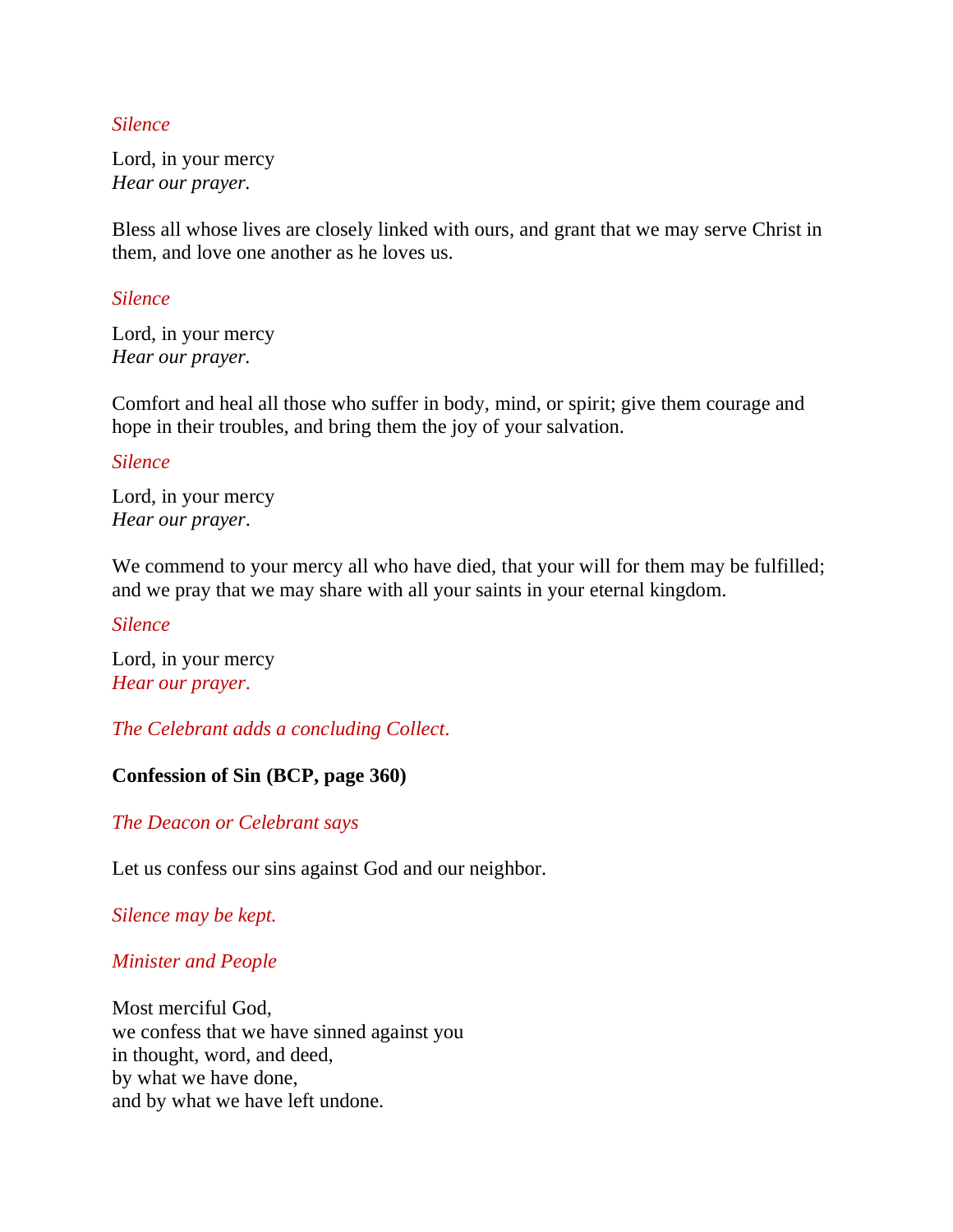#### *Silence*

Lord, in your mercy *Hear our prayer.*

Bless all whose lives are closely linked with ours, and grant that we may serve Christ in them, and love one another as he loves us.

#### *Silence*

Lord, in your mercy *Hear our prayer.*

Comfort and heal all those who suffer in body, mind, or spirit; give them courage and hope in their troubles, and bring them the joy of your salvation.

#### *Silence*

Lord, in your mercy *Hear our prayer*.

We commend to your mercy all who have died, that your will for them may be fulfilled; and we pray that we may share with all your saints in your eternal kingdom.

#### *Silence*

Lord, in your mercy *Hear our prayer*.

*The Celebrant adds a concluding Collect*.

# **Confession of Sin (BCP, page 360)**

*The Deacon or Celebrant says*

Let us confess our sins against God and our neighbor.

# *Silence may be kept.*

# *Minister and People*

Most merciful God, we confess that we have sinned against you in thought, word, and deed, by what we have done, and by what we have left undone.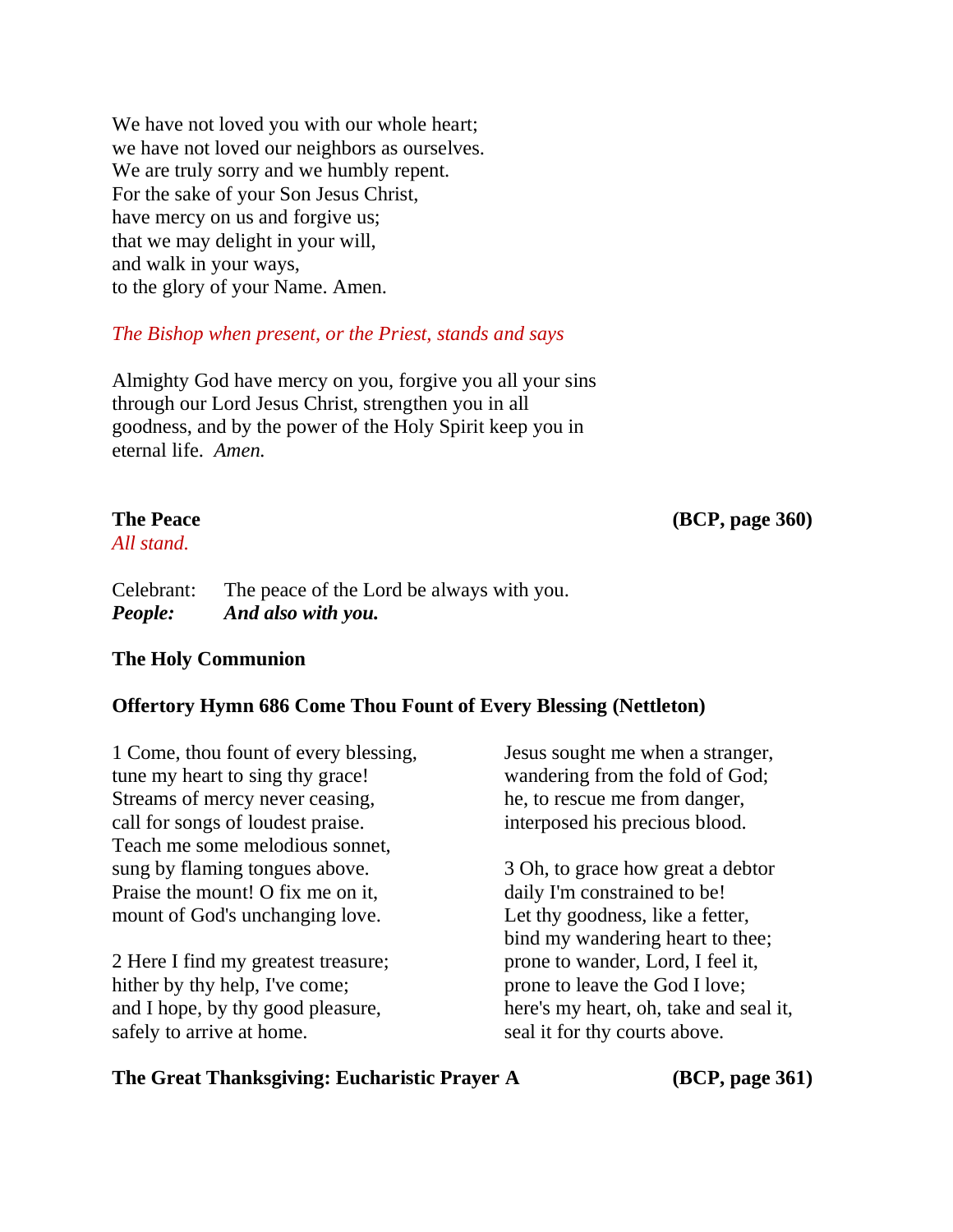We have not loved you with our whole heart; we have not loved our neighbors as ourselves. We are truly sorry and we humbly repent. For the sake of your Son Jesus Christ, have mercy on us and forgive us; that we may delight in your will, and walk in your ways, to the glory of your Name. Amen.

#### *The Bishop when present, or the Priest, stands and says*

Almighty God have mercy on you, forgive you all your sins through our Lord Jesus Christ, strengthen you in all goodness, and by the power of the Holy Spirit keep you in eternal life. *Amen.*

**The Peace (BCP, page 360)**

# *All stand.*

Celebrant: The peace of the Lord be always with you. *People: And also with you.*

#### **The Holy Communion**

#### **Offertory Hymn 686 Come Thou Fount of Every Blessing (Nettleton)**

1 Come, thou fount of every blessing, tune my heart to sing thy grace! Streams of mercy never ceasing, call for songs of loudest praise. Teach me some melodious sonnet, sung by flaming tongues above. Praise the mount! O fix me on it, mount of God's unchanging love.

2 Here I find my greatest treasure; hither by thy help, I've come; and I hope, by thy good pleasure, safely to arrive at home.

Jesus sought me when a stranger, wandering from the fold of God; he, to rescue me from danger, interposed his precious blood.

3 Oh, to grace how great a debtor daily I'm constrained to be! Let thy goodness, like a fetter, bind my wandering heart to thee; prone to wander, Lord, I feel it, prone to leave the God I love; here's my heart, oh, take and seal it, seal it for thy courts above.

**The Great Thanksgiving: Eucharistic Prayer A (BCP, page 361)**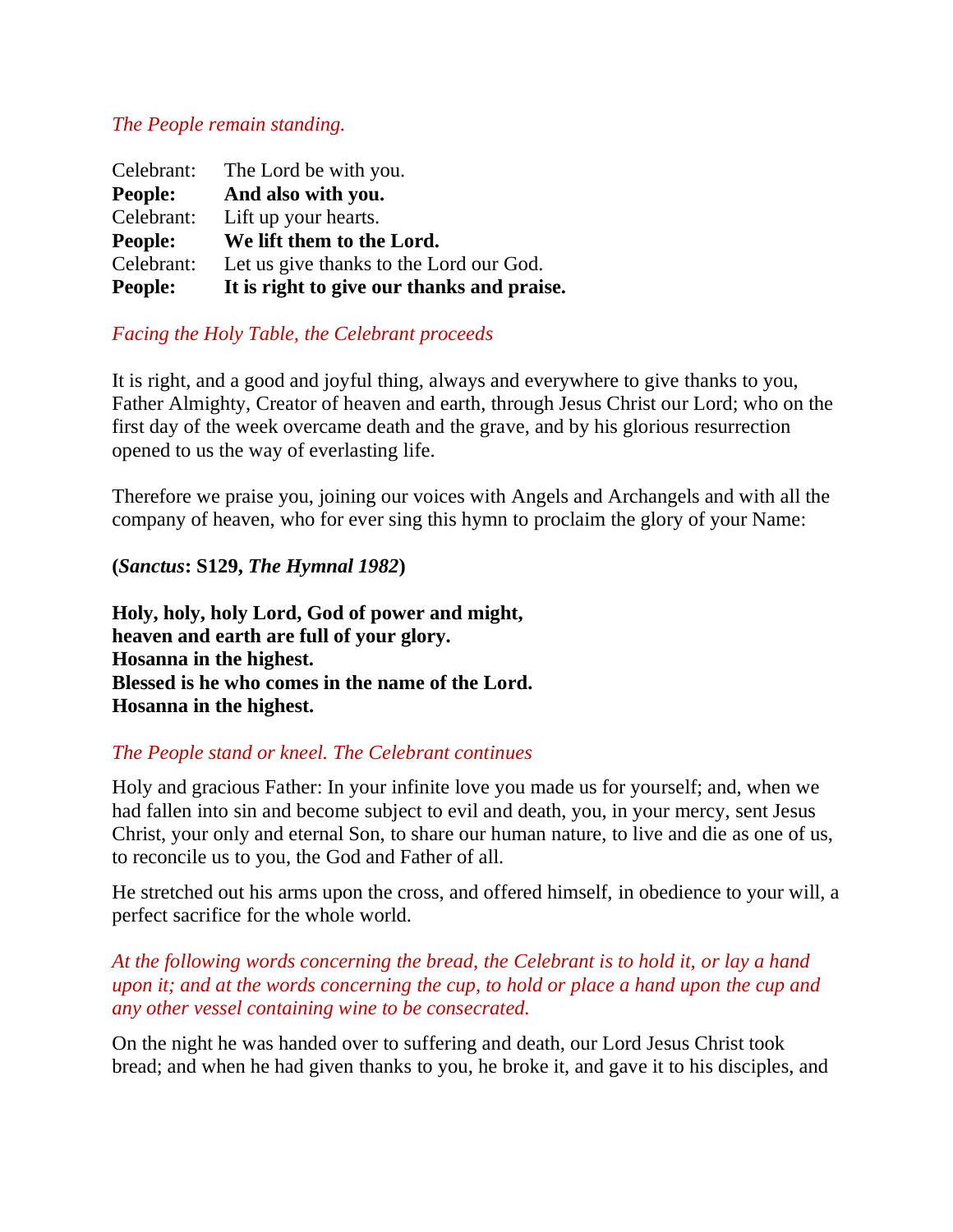#### *The People remain standing.*

| Celebrant:     | The Lord be with you.                      |
|----------------|--------------------------------------------|
| <b>People:</b> | And also with you.                         |
| Celebrant:     | Lift up your hearts.                       |
| <b>People:</b> | We lift them to the Lord.                  |
| Celebrant:     | Let us give thanks to the Lord our God.    |
| <b>People:</b> | It is right to give our thanks and praise. |

# *Facing the Holy Table, the Celebrant proceeds*

It is right, and a good and joyful thing, always and everywhere to give thanks to you, Father Almighty, Creator of heaven and earth, through Jesus Christ our Lord; who on the first day of the week overcame death and the grave, and by his glorious resurrection opened to us the way of everlasting life.

Therefore we praise you, joining our voices with Angels and Archangels and with all the company of heaven, who for ever sing this hymn to proclaim the glory of your Name:

#### **(***Sanctus***: S129,** *The Hymnal 1982***)**

**Holy, holy, holy Lord, God of power and might, heaven and earth are full of your glory. Hosanna in the highest. Blessed is he who comes in the name of the Lord. Hosanna in the highest.**

#### *The People stand or kneel. The Celebrant continues*

Holy and gracious Father: In your infinite love you made us for yourself; and, when we had fallen into sin and become subject to evil and death, you, in your mercy, sent Jesus Christ, your only and eternal Son, to share our human nature, to live and die as one of us, to reconcile us to you, the God and Father of all.

He stretched out his arms upon the cross, and offered himself, in obedience to your will, a perfect sacrifice for the whole world.

# *At the following words concerning the bread, the Celebrant is to hold it, or lay a hand upon it; and at the words concerning the cup, to hold or place a hand upon the cup and any other vessel containing wine to be consecrated.*

On the night he was handed over to suffering and death, our Lord Jesus Christ took bread; and when he had given thanks to you, he broke it, and gave it to his disciples, and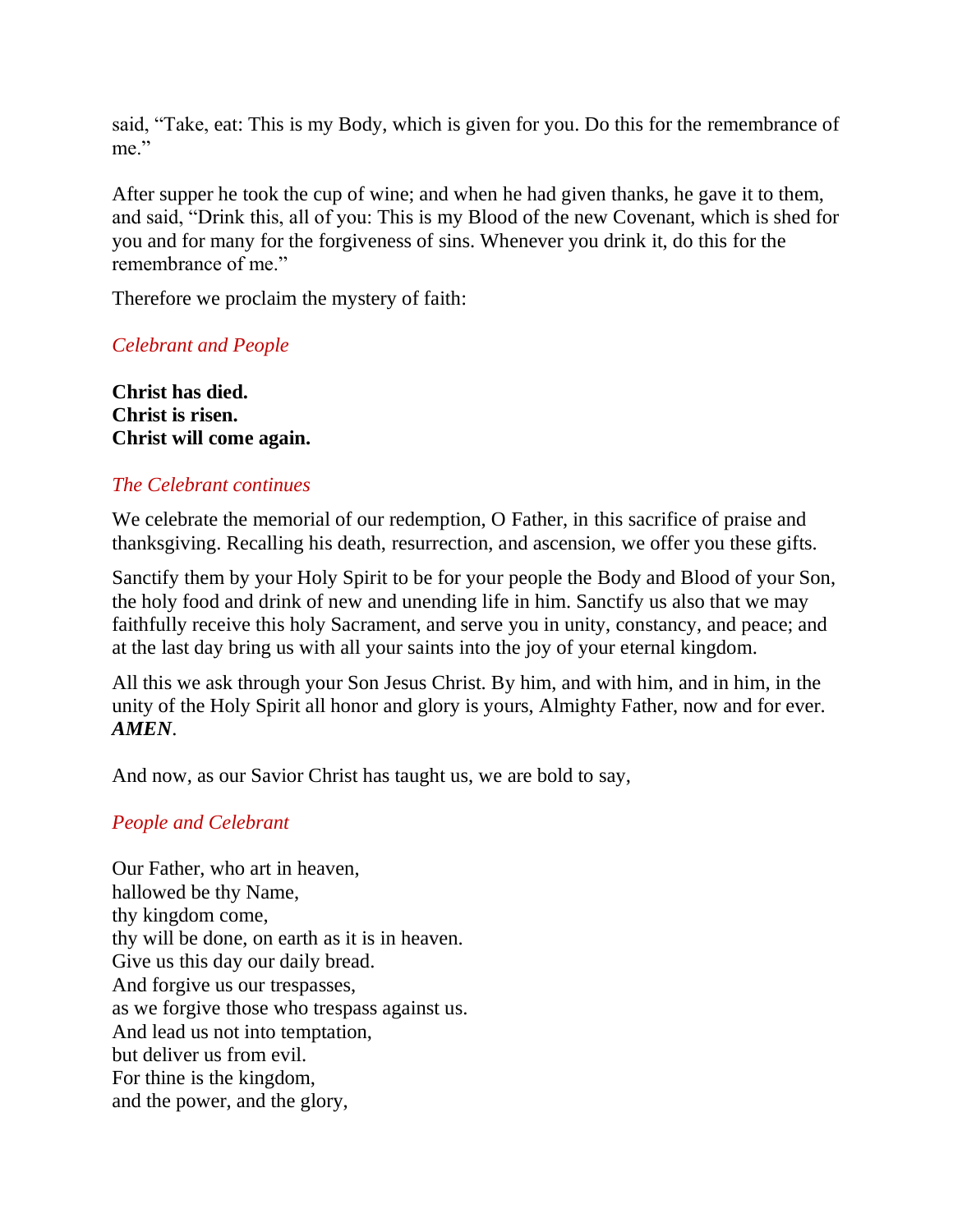said, "Take, eat: This is my Body, which is given for you. Do this for the remembrance of me."

After supper he took the cup of wine; and when he had given thanks, he gave it to them, and said, "Drink this, all of you: This is my Blood of the new Covenant, which is shed for you and for many for the forgiveness of sins. Whenever you drink it, do this for the remembrance of me."

Therefore we proclaim the mystery of faith:

# *Celebrant and People*

**Christ has died. Christ is risen. Christ will come again.**

# *The Celebrant continues*

We celebrate the memorial of our redemption, O Father, in this sacrifice of praise and thanksgiving. Recalling his death, resurrection, and ascension, we offer you these gifts.

Sanctify them by your Holy Spirit to be for your people the Body and Blood of your Son, the holy food and drink of new and unending life in him. Sanctify us also that we may faithfully receive this holy Sacrament, and serve you in unity, constancy, and peace; and at the last day bring us with all your saints into the joy of your eternal kingdom.

All this we ask through your Son Jesus Christ. By him, and with him, and in him, in the unity of the Holy Spirit all honor and glory is yours, Almighty Father, now and for ever. *AMEN*.

And now, as our Savior Christ has taught us, we are bold to say,

# *People and Celebrant*

Our Father, who art in heaven, hallowed be thy Name, thy kingdom come, thy will be done, on earth as it is in heaven. Give us this day our daily bread. And forgive us our trespasses, as we forgive those who trespass against us. And lead us not into temptation, but deliver us from evil. For thine is the kingdom, and the power, and the glory,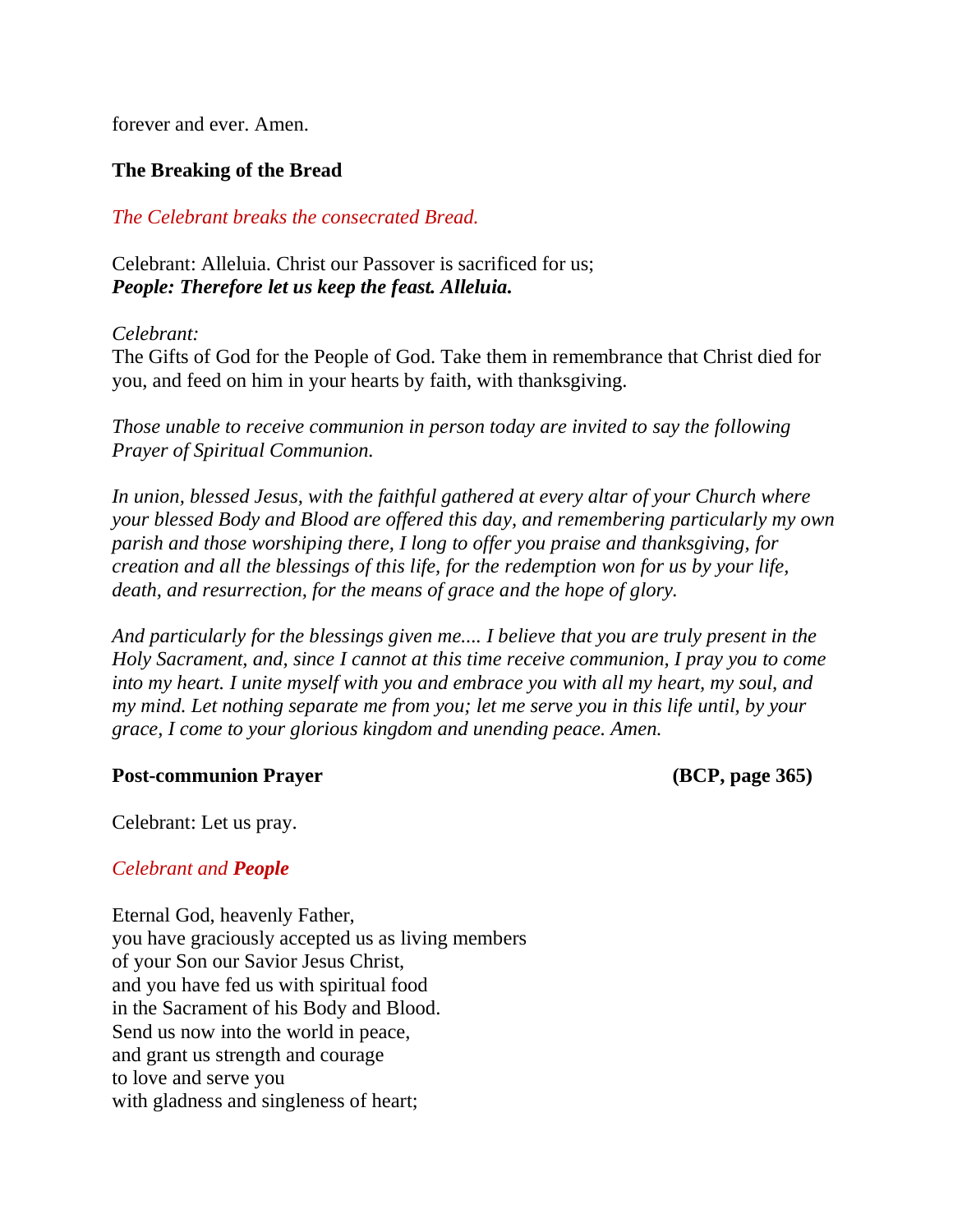forever and ever. Amen.

### **The Breaking of the Bread**

#### *The Celebrant breaks the consecrated Bread.*

Celebrant: Alleluia. Christ our Passover is sacrificed for us; *People: Therefore let us keep the feast. Alleluia.*

#### *Celebrant:*

The Gifts of God for the People of God. Take them in remembrance that Christ died for you, and feed on him in your hearts by faith, with thanksgiving.

*Those unable to receive communion in person today are invited to say the following Prayer of Spiritual Communion.*

*In union, blessed Jesus, with the faithful gathered at every altar of your Church where your blessed Body and Blood are offered this day, and remembering particularly my own parish and those worshiping there, I long to offer you praise and thanksgiving, for creation and all the blessings of this life, for the redemption won for us by your life, death, and resurrection, for the means of grace and the hope of glory.*

*And particularly for the blessings given me.... I believe that you are truly present in the Holy Sacrament, and, since I cannot at this time receive communion, I pray you to come into my heart. I unite myself with you and embrace you with all my heart, my soul, and my mind. Let nothing separate me from you; let me serve you in this life until, by your grace, I come to your glorious kingdom and unending peace. Amen.*

#### **Post-communion Prayer (BCP, page 365)**

Celebrant: Let us pray.

# *Celebrant and People*

Eternal God, heavenly Father, you have graciously accepted us as living members of your Son our Savior Jesus Christ, and you have fed us with spiritual food in the Sacrament of his Body and Blood. Send us now into the world in peace, and grant us strength and courage to love and serve you with gladness and singleness of heart;